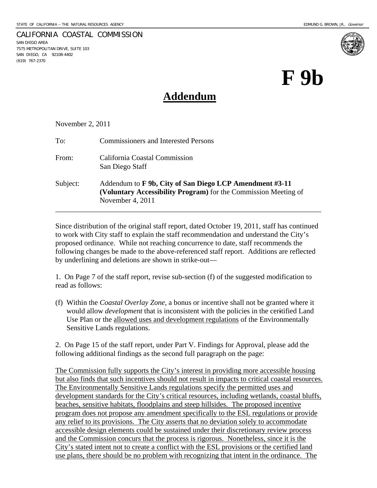SAN DIEGO AREA

(619) 767-2370

7575 METROPOLITAN DRIVE, SUITE 103 SAN DIEGO, CA 92108-4402

CALIFORNIA COASTAL COMMISSION

# **F 9b**

# **Addendum**

November 2, 2011

| To:      | <b>Commissioners and Interested Persons</b>                                                                                                    |
|----------|------------------------------------------------------------------------------------------------------------------------------------------------|
| From:    | California Coastal Commission<br>San Diego Staff                                                                                               |
| Subject: | Addendum to F 9b, City of San Diego LCP Amendment #3-11<br>(Voluntary Accessibility Program) for the Commission Meeting of<br>November 4, 2011 |

Since distribution of the original staff report, dated October 19, 2011, staff has continued to work with City staff to explain the staff recommendation and understand the City's proposed ordinance. While not reaching concurrence to date, staff recommends the following changes be made to the above-referenced staff report. Additions are reflected by underlining and deletions are shown in strike-out—

1. On Page 7 of the staff report, revise sub-section (f) of the suggested modification to read as follows:

(f) Within the *Coastal Overlay Zone*, a bonus or incentive shall not be granted where it would allow *development* that is inconsistent with the policies in the ceritified Land Use Plan or the allowed uses and development regulations of the Environmentally Sensitive Lands regulations.

2. On Page 15 of the staff report, under Part V. Findings for Approval, please add the following additional findings as the second full paragraph on the page:

The Commission fully supports the City's interest in providing more accessible housing but also finds that such incentives should not result in impacts to critical coastal resources. The Environmentally Sensitive Lands regulations specify the permitted uses and development standards for the City's critical resources, including wetlands, coastal bluffs, beaches, sensitive habitats, floodplains and steep hillsides. The proposed incentive program does not propose any amendment specifically to the ESL regulations or provide any relief to its provisions. The City asserts that no deviation solely to accommodate accessible design elements could be sustained under their discretionary review process and the Commission concurs that the process is rigorous. Nonetheless, since it is the City's stated intent not to create a conflict with the ESL provisions or the certified land use plans, there should be no problem with recognizing that intent in the ordinance. The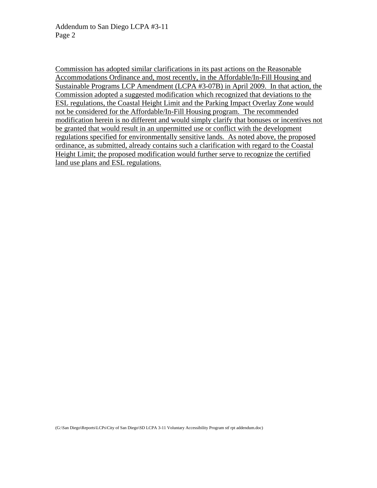Commission has adopted similar clarifications in its past actions on the Reasonable Accommodations Ordinance and, most recently, in the Affordable/In-Fill Housing and Sustainable Programs LCP Amendment (LCPA #3-07B) in April 2009. In that action, the Commission adopted a suggested modification which recognized that deviations to the ESL regulations, the Coastal Height Limit and the Parking Impact Overlay Zone would not be considered for the Affordable/In-Fill Housing program. The recommended modification herein is no different and would simply clarify that bonuses or incentives not be granted that would result in an unpermitted use or conflict with the development regulations specified for environmentally sensitive lands. As noted above, the proposed ordinance, as submitted, already contains such a clarification with regard to the Coastal Height Limit; the proposed modification would further serve to recognize the certified land use plans and ESL regulations.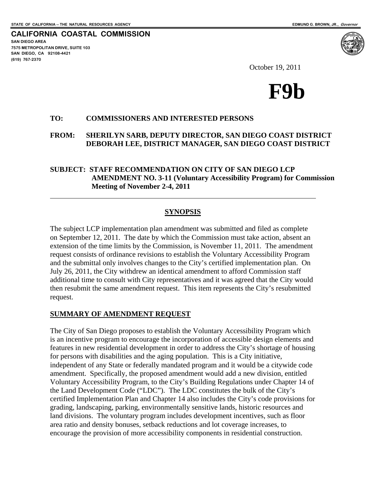**CALIFORNIA COASTAL COMMISSION SAN DIEGO AREA 7575 METROPOLITAN DRIVE, SUITE 103 SAN DIEGO, CA 92108-4421 (619) 767-2370**

 $\overline{a}$ 

October 19, 2011



#### **TO: COMMISSIONERS AND INTERESTED PERSONS**

**FROM: SHERILYN SARB, DEPUTY DIRECTOR, SAN DIEGO COAST DISTRICT DEBORAH LEE, DISTRICT MANAGER, SAN DIEGO COAST DISTRICT** 

#### **SUBJECT: STAFF RECOMMENDATION ON CITY OF SAN DIEGO LCP AMENDMENT NO. 3-11 (Voluntary Accessibility Program) for Commission Meeting of November 2-4, 2011**

#### **SYNOPSIS**

The subject LCP implementation plan amendment was submitted and filed as complete on September 12, 2011. The date by which the Commission must take action, absent an extension of the time limits by the Commission, is November 11, 2011. The amendment request consists of ordinance revisions to establish the Voluntary Accessibility Program and the submittal only involves changes to the City's certified implementation plan. On July 26, 2011, the City withdrew an identical amendment to afford Commission staff additional time to consult with City representatives and it was agreed that the City would then resubmit the same amendment request. This item represents the City's resubmitted request.

#### **SUMMARY OF AMENDMENT REQUEST**

The City of San Diego proposes to establish the Voluntary Accessibility Program which is an incentive program to encourage the incorporation of accessible design elements and features in new residential development in order to address the City's shortage of housing for persons with disabilities and the aging population. This is a City initiative, independent of any State or federally mandated program and it would be a citywide code amendment. Specifically, the proposed amendment would add a new division, entitled Voluntary Accessibility Program, to the City's Building Regulations under Chapter 14 of the Land Development Code ("LDC"). The LDC constitutes the bulk of the City's certified Implementation Plan and Chapter 14 also includes the City's code provisions for grading, landscaping, parking, environmentally sensitive lands, historic resources and land divisions. The voluntary program includes development incentives, such as floor area ratio and density bonuses, setback reductions and lot coverage increases, to encourage the provision of more accessibility components in residential construction.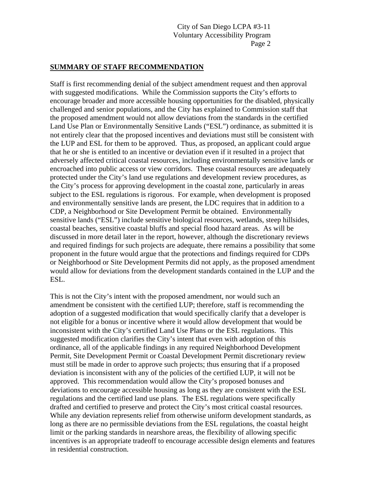#### **SUMMARY OF STAFF RECOMMENDATION**

Staff is first recommending denial of the subject amendment request and then approval with suggested modifications. While the Commission supports the City's efforts to encourage broader and more accessible housing opportunities for the disabled, physically challenged and senior populations, and the City has explained to Commission staff that the proposed amendment would not allow deviations from the standards in the certified Land Use Plan or Environmentally Sensitive Lands ("ESL") ordinance, as submitted it is not entirely clear that the proposed incentives and deviations must still be consistent with the LUP and ESL for them to be approved. Thus, as proposed, an applicant could argue that he or she is entitled to an incentive or deviation even if it resulted in a project that adversely affected critical coastal resources, including environmentally sensitive lands or encroached into public access or view corridors. These coastal resources are adequately protected under the City's land use regulations and development review procedures, as the City's process for approving development in the coastal zone, particularly in areas subject to the ESL regulations is rigorous. For example, when development is proposed and environmentally sensitive lands are present, the LDC requires that in addition to a CDP, a Neighborhood or Site Development Permit be obtained. Environmentally sensitive lands ("ESL") include sensitive biological resources, wetlands, steep hillsides, coastal beaches, sensitive coastal bluffs and special flood hazard areas. As will be discussed in more detail later in the report, however, although the discretionary reviews and required findings for such projects are adequate, there remains a possibility that some proponent in the future would argue that the protections and findings required for CDPs or Neighborhood or Site Development Permits did not apply, as the proposed amendment would allow for deviations from the development standards contained in the LUP and the ESL.

This is not the City's intent with the proposed amendment, nor would such an amendment be consistent with the certified LUP; therefore, staff is recommending the adoption of a suggested modification that would specifically clarify that a developer is not eligible for a bonus or incentive where it would allow development that would be inconsistent with the City's certified Land Use Plans or the ESL regulations. This suggested modification clarifies the City's intent that even with adoption of this ordinance, all of the applicable findings in any required Neighborhood Development Permit, Site Development Permit or Coastal Development Permit discretionary review must still be made in order to approve such projects; thus ensuring that if a proposed deviation is inconsistent with any of the policies of the certified LUP, it will not be approved. This recommendation would allow the City's proposed bonuses and deviations to encourage accessible housing as long as they are consistent with the ESL regulations and the certified land use plans. The ESL regulations were specifically drafted and certified to preserve and protect the City's most critical coastal resources. While any deviation represents relief from otherwise uniform development standards, as long as there are no permissible deviations from the ESL regulations, the coastal height limit or the parking standards in nearshore areas, the flexibility of allowing specific incentives is an appropriate tradeoff to encourage accessible design elements and features in residential construction.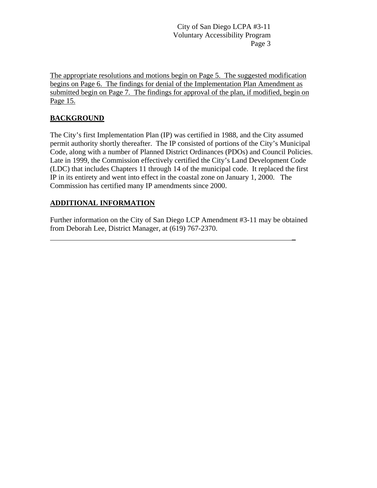The appropriate resolutions and motions begin on Page 5. The suggested modification begins on Page [6. The findings for denial of the Implementation Plan Amendment as](#page-7-0)  [submitted begin on Page 7. The findings for approval of the plan, if modified, begin on](#page-7-0)  [Page](#page-7-0) [15.](#page-16-0)

# **BACKGROUND**

The City's first Implementation Plan (IP) was certified in 1988, and the City assumed permit authority shortly thereafter. The IP consisted of portions of the City's Municipal Code, along with a number of Planned District Ordinances (PDOs) and Council Policies. Late in 1999, the Commission effectively certified the City's Land Development Code (LDC) that includes Chapters 11 through 14 of the municipal code. It replaced the first IP in its entirety and went into effect in the coastal zone on January 1, 2000. The Commission has certified many IP amendments since 2000.

# **ADDITIONAL INFORMATION**

Further information on the City of San Diego LCP Amendment #3-11 may be obtained from Deborah Lee, District Manager, at (619) 767-2370.

\_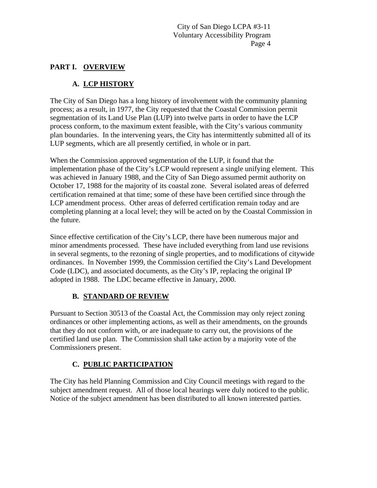# **PART I. OVERVIEW**

# **A. LCP HISTORY**

The City of San Diego has a long history of involvement with the community planning process; as a result, in 1977, the City requested that the Coastal Commission permit segmentation of its Land Use Plan (LUP) into twelve parts in order to have the LCP process conform, to the maximum extent feasible, with the City's various community plan boundaries. In the intervening years, the City has intermittently submitted all of its LUP segments, which are all presently certified, in whole or in part.

When the Commission approved segmentation of the LUP, it found that the implementation phase of the City's LCP would represent a single unifying element. This was achieved in January 1988, and the City of San Diego assumed permit authority on October 17, 1988 for the majority of its coastal zone. Several isolated areas of deferred certification remained at that time; some of these have been certified since through the LCP amendment process. Other areas of deferred certification remain today and are completing planning at a local level; they will be acted on by the Coastal Commission in the future.

Since effective certification of the City's LCP, there have been numerous major and minor amendments processed. These have included everything from land use revisions in several segments, to the rezoning of single properties, and to modifications of citywide ordinances. In November 1999, the Commission certified the City's Land Development Code (LDC), and associated documents, as the City's IP, replacing the original IP adopted in 1988. The LDC became effective in January, 2000.

## **B. STANDARD OF REVIEW**

Pursuant to Section 30513 of the Coastal Act, the Commission may only reject zoning ordinances or other implementing actions, as well as their amendments, on the grounds that they do not conform with, or are inadequate to carry out, the provisions of the certified land use plan. The Commission shall take action by a majority vote of the Commissioners present.

# **C. PUBLIC PARTICIPATION**

The City has held Planning Commission and City Council meetings with regard to the subject amendment request. All of those local hearings were duly noticed to the public. Notice of the subject amendment has been distributed to all known interested parties.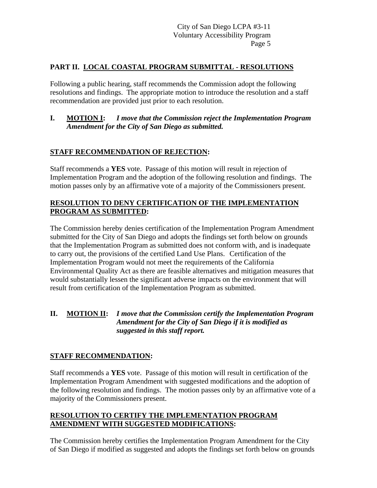# **PART II. LOCAL COASTAL PROGRAM SUBMITTAL - RESOLUTIONS**

Following a public hearing, staff recommends the Commission adopt the following resolutions and findings. The appropriate motion to introduce the resolution and a staff recommendation are provided just prior to each resolution.

## **I. MOTION I:** *I move that the Commission reject the Implementation Program Amendment for the City of San Diego as submitted.*

## **STAFF RECOMMENDATION OF REJECTION:**

Staff recommends a **YES** vote. Passage of this motion will result in rejection of Implementation Program and the adoption of the following resolution and findings. The motion passes only by an affirmative vote of a majority of the Commissioners present.

## **RESOLUTION TO DENY CERTIFICATION OF THE IMPLEMENTATION PROGRAM AS SUBMITTED:**

The Commission hereby denies certification of the Implementation Program Amendment submitted for the City of San Diego and adopts the findings set forth below on grounds that the Implementation Program as submitted does not conform with, and is inadequate to carry out, the provisions of the certified Land Use Plans. Certification of the Implementation Program would not meet the requirements of the California Environmental Quality Act as there are feasible alternatives and mitigation measures that would substantially lessen the significant adverse impacts on the environment that will result from certification of the Implementation Program as submitted.

## **II. MOTION II:** *I move that the Commission certify the Implementation Program Amendment for the City of San Diego if it is modified as suggested in this staff report.*

## **STAFF RECOMMENDATION:**

Staff recommends a **YES** vote. Passage of this motion will result in certification of the Implementation Program Amendment with suggested modifications and the adoption of the following resolution and findings. The motion passes only by an affirmative vote of a majority of the Commissioners present.

## **RESOLUTION TO CERTIFY THE IMPLEMENTATION PROGRAM AMENDMENT WITH SUGGESTED MODIFICATIONS:**

The Commission hereby certifies the Implementation Program Amendment for the City of San Diego if modified as suggested and adopts the findings set forth below on grounds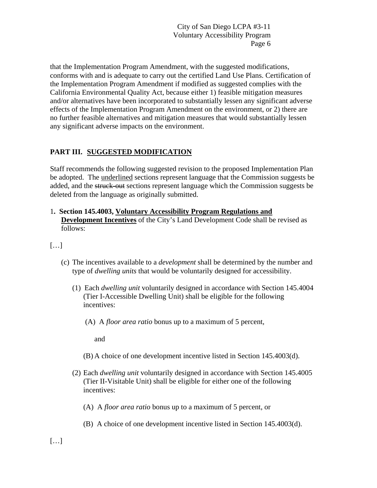that the Implementation Program Amendment, with the suggested modifications, conforms with and is adequate to carry out the certified Land Use Plans. Certification of the Implementation Program Amendment if modified as suggested complies with the California Environmental Quality Act, because either 1) feasible mitigation measures and/or alternatives have been incorporated to substantially lessen any significant adverse effects of the Implementation Program Amendment on the environment, or 2) there are no further feasible alternatives and mitigation measures that would substantially lessen any significant adverse impacts on the environment.

# <span id="page-7-0"></span>**PART III. SUGGESTED MODIFICATION**

Staff recommends the following suggested revision to the proposed Implementation Plan be adopted. The underlined sections represent language that the Commission suggests be added, and the struck-out sections represent language which the Commission suggests be deleted from the language as originally submitted.

#### 1**. Section 145.4003, Voluntary Accessibility Program Regulations and Development Incentives** of the City's Land Development Code shall be revised as follows:

 $[\ldots]$ 

- (c) The incentives available to a *development* shall be determined by the number and type of *dwelling units* that would be voluntarily designed for accessibility.
	- (1) Each *dwelling unit* voluntarily designed in accordance with Section 145.4004 (Tier I-Accessible Dwelling Unit) shall be eligible for the following incentives:
		- (A) A *floor area ratio* bonus up to a maximum of 5 percent,

and

- (B) A choice of one development incentive listed in Section 145.4003(d).
- (2) Each *dwelling unit* voluntarily designed in accordance with Section 145.4005 (Tier II-Visitable Unit) shall be eligible for either one of the following incentives:
	- (A) A *floor area ratio* bonus up to a maximum of 5 percent, or
	- (B) A choice of one development incentive listed in Section 145.4003(d).

 $[...]$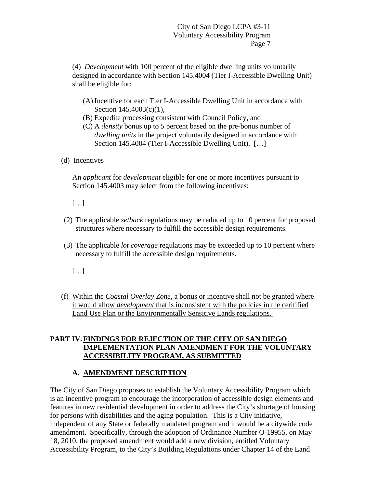(4) *Development* with 100 percent of the eligible dwelling units voluntarily designed in accordance with Section 145.4004 (Tier I-Accessible Dwelling Unit) shall be eligible for:

- (A) Incentive for each Tier I-Accessible Dwelling Unit in accordance with Section 145.4003(c)(1),
- (B) Expedite processing consistent with Council Policy, and
- (C) A *density* bonus up to 5 percent based on the pre-bonus number of *dwelling units* in the project voluntarily designed in accordance with Section 145.4004 (Tier I-Accessible Dwelling Unit). […]
- (d) Incentives

An *applicant* for *development* eligible for one or more incentives pursuant to Section 145.4003 may select from the following incentives:

- […]
- (2) The applicable *setback* regulations may be reduced up to 10 percent for proposed structures where necessary to fulfill the accessible design requirements.
- (3) The applicable *lot coverage* regulations may be exceeded up to 10 percent where necessary to fulfill the accessible design requirements.
	- […]
- (f) Within the *Coastal Overlay Zone*, a bonus or incentive shall not be granted where it would allow *development* that is inconsistent with the policies in the ceritified Land Use Plan or the Environmentally Sensitive Lands regulations.

#### **PART IV. FINDINGS FOR REJECTION OF THE CITY OF SAN DIEGO IMPLEMENTATION PLAN AMENDMENT FOR THE VOLUNTARY ACCESSIBILITY PROGRAM, AS SUBMITTED**

## **A. AMENDMENT DESCRIPTION**

The City of San Diego proposes to establish the Voluntary Accessibility Program which is an incentive program to encourage the incorporation of accessible design elements and features in new residential development in order to address the City's shortage of housing for persons with disabilities and the aging population. This is a City initiative, independent of any State or federally mandated program and it would be a citywide code amendment. Specifically, through the adoption of Ordinance Number O-19955, on May 18, 2010, the proposed amendment would add a new division, entitled Voluntary Accessibility Program, to the City's Building Regulations under Chapter 14 of the Land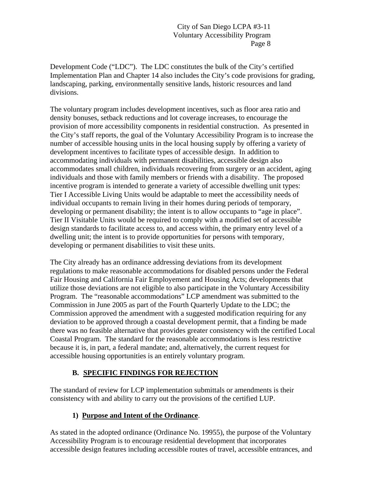Development Code ("LDC"). The LDC constitutes the bulk of the City's certified Implementation Plan and Chapter 14 also includes the City's code provisions for grading, landscaping, parking, environmentally sensitive lands, historic resources and land divisions.

The voluntary program includes development incentives, such as floor area ratio and density bonuses, setback reductions and lot coverage increases, to encourage the provision of more accessibility components in residential construction. As presented in the City's staff reports, the goal of the Voluntary Accessibility Program is to increase the number of accessible housing units in the local housing supply by offering a variety of development incentives to facilitate types of accessible design. In addition to accommodating individuals with permanent disabilities, accessible design also accommodates small children, individuals recovering from surgery or an accident, aging individuals and those with family members or friends with a disability. The proposed incentive program is intended to generate a variety of accessible dwelling unit types: Tier I Accessible Living Units would be adaptable to meet the accessibility needs of individual occupants to remain living in their homes during periods of temporary, developing or permanent disability; the intent is to allow occupants to "age in place". Tier II Visitable Units would be required to comply with a modified set of accessible design standards to facilitate access to, and access within, the primary entry level of a dwelling unit; the intent is to provide opportunities for persons with temporary, developing or permanent disabilities to visit these units.

The City already has an ordinance addressing deviations from its development regulations to make reasonable accommodations for disabled persons under the Federal Fair Housing and California Fair Employement and Housing Acts; developments that utilize those deviations are not eligible to also participate in the Voluntary Accessibility Program. The "reasonable accommodations" LCP amendment was submitted to the Commission in June 2005 as part of the Fourth Quarterly Update to the LDC; the Commission approved the amendment with a suggested modification requiring for any deviation to be approved through a coastal development permit, that a finding be made there was no feasible alternative that provides greater consistency with the certified Local Coastal Program. The standard for the reasonable accommodations is less restrictive because it is, in part, a federal mandate; and, alternatively, the current request for accessible housing opportunities is an entirely voluntary program.

## **B. SPECIFIC FINDINGS FOR REJECTION**

The standard of review for LCP implementation submittals or amendments is their consistency with and ability to carry out the provisions of the certified LUP.

## **1) Purpose and Intent of the Ordinance**.

As stated in the adopted ordinance (Ordinance No. 19955), the purpose of the Voluntary Accessibility Program is to encourage residential development that incorporates accessible design features including accessible routes of travel, accessible entrances, and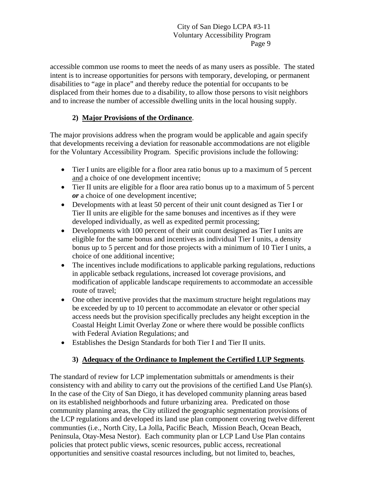accessible common use rooms to meet the needs of as many users as possible. The stated intent is to increase opportunities for persons with temporary, developing, or permanent disabilities to "age in place" and thereby reduce the potential for occupants to be displaced from their homes due to a disability, to allow those persons to visit neighbors and to increase the number of accessible dwelling units in the local housing supply.

# **2) Major Provisions of the Ordinance**.

The major provisions address when the program would be applicable and again specify that developments receiving a deviation for reasonable accommodations are not eligible for the Voluntary Accessibility Program. Specific provisions include the following:

- Tier I units are eligible for a floor area ratio bonus up to a maximum of 5 percent and a choice of one development incentive;
- Tier II units are eligible for a floor area ratio bonus up to a maximum of 5 percent *or* a choice of one development incentive;
- Developments with at least 50 percent of their unit count designed as Tier I or Tier II units are eligible for the same bonuses and incentives as if they were developed individually, as well as expedited permit processing;
- Developments with 100 percent of their unit count designed as Tier I units are eligible for the same bonus and incentives as individual Tier I units, a density bonus up to 5 percent and for those projects with a minimum of 10 Tier I units, a choice of one additional incentive;
- The incentives include modifications to applicable parking regulations, reductions in applicable setback regulations, increased lot coverage provisions, and modification of applicable landscape requirements to accommodate an accessible route of travel;
- One other incentive provides that the maximum structure height regulations may be exceeded by up to 10 percent to accommodate an elevator or other special access needs but the provision specifically precludes any height exception in the Coastal Height Limit Overlay Zone or where there would be possible conflicts with Federal Aviation Regulations; and
- Establishes the Design Standards for both Tier I and Tier II units.

## **3) Adequacy of the Ordinance to Implement the Certified LUP Segments**.

The standard of review for LCP implementation submittals or amendments is their consistency with and ability to carry out the provisions of the certified Land Use Plan(s). In the case of the City of San Diego, it has developed community planning areas based on its established neighborhoods and future urbanizing area. Predicated on those community planning areas, the City utilized the geographic segmentation provisions of the LCP regulations and developed its land use plan component covering twelve different communties (i.e., North City, La Jolla, Pacific Beach, Mission Beach, Ocean Beach, Peninsula, Otay-Mesa Nestor). Each community plan or LCP Land Use Plan contains policies that protect public views, scenic resources, public access, recreational opportunities and sensitive coastal resources including, but not limited to, beaches,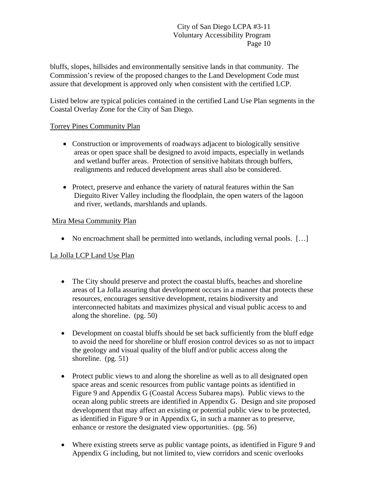bluffs, slopes, hillsides and environmentally sensitive lands in that community. The Commission's review of the proposed changes to the Land Development Code must assure that development is approved only when consistent with the certified LCP.

Listed below are typical policies contained in the certified Land Use Plan segments in the Coastal Overlay Zone for the City of San Diego.

#### Torrey Pines Community Plan

- Construction or improvements of roadways adjacent to biologically sensitive areas or open space shall be designed to avoid impacts, especially in wetlands and wetland buffer areas. Protection of sensitive habitats through buffers, realignments and reduced development areas shall also be considered.
- Protect, preserve and enhance the variety of natural features within the San Dieguito River Valley including the floodplain, the open waters of the lagoon and river, wetlands, marshlands and uplands.

#### Mira Mesa Community Plan

• No encroachment shall be permitted into wetlands, including vernal pools. [...]

## La Jolla LCP Land Use Plan

- The City should preserve and protect the coastal bluffs, beaches and shoreline areas of La Jolla assuring that development occurs in a manner that protects these resources, encourages sensitive development, retains biodiversity and interconnected habitats and maximizes physical and visual public access to and along the shoreline. (pg. 50)
- Development on coastal bluffs should be set back sufficiently from the bluff edge to avoid the need for shoreline or bluff erosion control devices so as not to impact the geology and visual quality of the bluff and/or public access along the shoreline. (pg. 51)
- Protect public views to and along the shoreline as well as to all designated open space areas and scenic resources from public vantage points as identified in Figure 9 and Appendix G (Coastal Access Subarea maps). Public views to the ocean along public streets are identified in Appendix G. Design and site proposed development that may affect an existing or potential public view to be protected, as identified in Figure 9 or in Appendix G, in such a manner as to preserve, enhance or restore the designated view opportunities. (pg. 56)
- Where existing streets serve as public vantage points, as identified in Figure 9 and Appendix G including, but not limited to, view corridors and scenic overlooks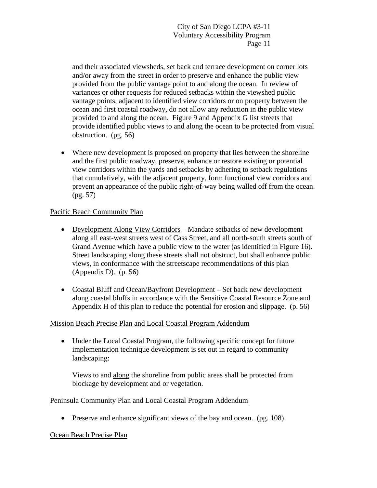and their associated viewsheds, set back and terrace development on corner lots and/or away from the street in order to preserve and enhance the public view provided from the public vantage point to and along the ocean. In review of variances or other requests for reduced setbacks within the viewshed public vantage points, adjacent to identified view corridors or on property between the ocean and first coastal roadway, do not allow any reduction in the public view provided to and along the ocean. Figure 9 and Appendix G list streets that provide identified public views to and along the ocean to be protected from visual obstruction. (pg. 56)

 Where new development is proposed on property that lies between the shoreline and the first public roadway, preserve, enhance or restore existing or potential view corridors within the yards and setbacks by adhering to setback regulations that cumulatively, with the adjacent property, form functional view corridors and prevent an appearance of the public right-of-way being walled off from the ocean. (pg. 57)

## Pacific Beach Community Plan

- Development Along View Corridors Mandate setbacks of new development along all east-west streets west of Cass Street, and all north-south streets south of Grand Avenue which have a public view to the water (as identified in Figure 16). Street landscaping along these streets shall not obstruct, but shall enhance public views, in conformance with the streetscape recommendations of this plan (Appendix D). (p. 56)
- Coastal Bluff and Ocean/Bayfront Development Set back new development along coastal bluffs in accordance with the Sensitive Coastal Resource Zone and Appendix H of this plan to reduce the potential for erosion and slippage. (p. 56)

#### Mission Beach Precise Plan and Local Coastal Program Addendum

 Under the Local Coastal Program, the following specific concept for future implementation technique development is set out in regard to community landscaping:

Views to and along the shoreline from public areas shall be protected from blockage by development and or vegetation.

#### Peninsula Community Plan and Local Coastal Program Addendum

• Preserve and enhance significant views of the bay and ocean. (pg. 108)

#### Ocean Beach Precise Plan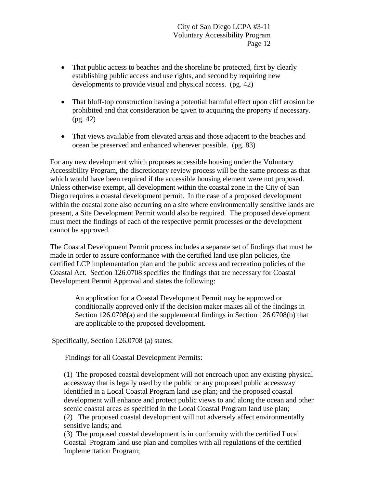- That public access to beaches and the shoreline be protected, first by clearly establishing public access and use rights, and second by requiring new developments to provide visual and physical access. (pg. 42)
- That bluff-top construction having a potential harmful effect upon cliff erosion be prohibited and that consideration be given to acquiring the property if necessary. (pg. 42)
- That views available from elevated areas and those adjacent to the beaches and ocean be preserved and enhanced wherever possible. (pg. 83)

For any new development which proposes accessible housing under the Voluntary Accessibility Program, the discretionary review process will be the same process as that which would have been required if the accessible housing element were not proposed. Unless otherwise exempt, all development within the coastal zone in the City of San Diego requires a coastal development permit. In the case of a proposed development within the coastal zone also occurring on a site where environmentally sensitive lands are present, a Site Development Permit would also be required. The proposed development must meet the findings of each of the respective permit processes or the development cannot be approved.

The Coastal Development Permit process includes a separate set of findings that must be made in order to assure conformance with the certified land use plan policies, the certified LCP implementation plan and the public access and recreation policies of the Coastal Act. Section 126.0708 specifies the findings that are necessary for Coastal Development Permit Approval and states the following:

An application for a Coastal Development Permit may be approved or conditionally approved only if the decision maker makes all of the findings in Section 126.0708(a) and the supplemental findings in Section 126.0708(b) that are applicable to the proposed development.

Specifically, Section 126.0708 (a) states:

Findings for all Coastal Development Permits:

(1) The proposed coastal development will not encroach upon any existing physical accessway that is legally used by the public or any proposed public accessway identified in a Local Coastal Program land use plan; and the proposed coastal development will enhance and protect public views to and along the ocean and other scenic coastal areas as specified in the Local Coastal Program land use plan;

(2) The proposed coastal development will not adversely affect environmentally sensitive lands; and

(3) The proposed coastal development is in conformity with the certified Local Coastal Program land use plan and complies with all regulations of the certified Implementation Program;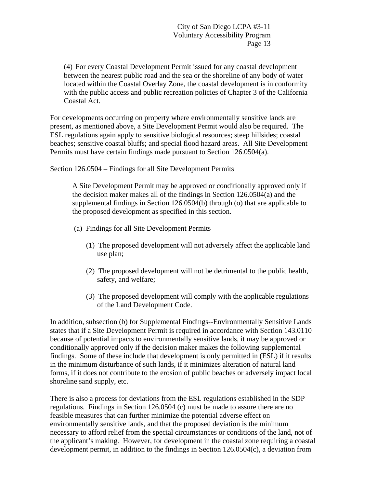(4) For every Coastal Development Permit issued for any coastal development between the nearest public road and the sea or the shoreline of any body of water located within the Coastal Overlay Zone, the coastal development is in conformity with the public access and public recreation policies of Chapter 3 of the California Coastal Act.

For developments occurring on property where environmentally sensitive lands are present, as mentioned above, a Site Development Permit would also be required. The ESL regulations again apply to sensitive biological resources; steep hillsides; coastal beaches; sensitive coastal bluffs; and special flood hazard areas. All Site Development Permits must have certain findings made pursuant to Section 126.0504(a).

Section 126.0504 – Findings for all Site Development Permits

A Site Development Permit may be approved or conditionally approved only if the decision maker makes all of the findings in Section 126.0504(a) and the supplemental findings in Section 126.0504(b) through (o) that are applicable to the proposed development as specified in this section.

- (a) Findings for all Site Development Permits
	- (1) The proposed development will not adversely affect the applicable land use plan;
	- (2) The proposed development will not be detrimental to the public health, safety, and welfare;
	- (3) The proposed development will comply with the applicable regulations of the Land Development Code.

In addition, subsection (b) for Supplemental Findings--Environmentally Sensitive Lands states that if a Site Development Permit is required in accordance with Section 143.0110 because of potential impacts to environmentally sensitive lands, it may be approved or conditionally approved only if the decision maker makes the following supplemental findings. Some of these include that development is only permitted in (ESL) if it results in the minimum disturbance of such lands, if it minimizes alteration of natural land forms, if it does not contribute to the erosion of public beaches or adversely impact local shoreline sand supply, etc.

There is also a process for deviations from the ESL regulations established in the SDP regulations. Findings in Section 126.0504 (c) must be made to assure there are no feasible measures that can further minimize the potential adverse effect on environmentally sensitive lands, and that the proposed deviation is the minimum necessary to afford relief from the special circumstances or conditions of the land, not of the applicant's making. However, for development in the coastal zone requiring a coastal development permit, in addition to the findings in Section 126.0504(c), a deviation from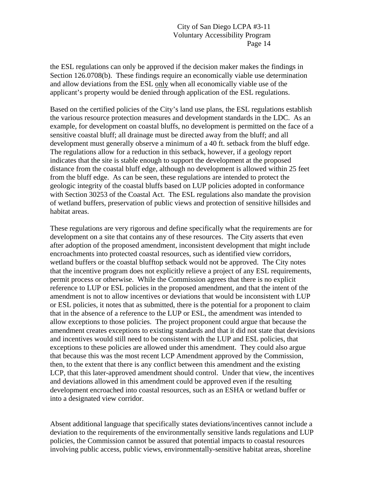the ESL regulations can only be approved if the decision maker makes the findings in Section 126.0708(b). These findings require an economically viable use determination and allow deviations from the ESL only when all economically viable use of the applicant's property would be denied through application of the ESL regulations.

Based on the certified policies of the City's land use plans, the ESL regulations establish the various resource protection measures and development standards in the LDC. As an example, for development on coastal bluffs, no development is permitted on the face of a sensitive coastal bluff; all drainage must be directed away from the bluff; and all development must generally observe a minimum of a 40 ft. setback from the bluff edge. The regulations allow for a reduction in this setback, however, if a geology report indicates that the site is stable enough to support the development at the proposed distance from the coastal bluff edge, although no development is allowed within 25 feet from the bluff edge. As can be seen, these regulations are intended to protect the geologic integrity of the coastal bluffs based on LUP policies adopted in conformance with Section 30253 of the Coastal Act. The ESL regulations also mandate the provision of wetland buffers, preservation of public views and protection of sensitive hillsides and habitat areas.

These regulations are very rigorous and define specifically what the requirements are for development on a site that contains any of these resources. The City asserts that even after adoption of the proposed amendment, inconsistent development that might include encroachments into protected coastal resources, such as identified view corridors, wetland buffers or the coastal blufftop setback would not be approved. The City notes that the incentive program does not explicitly relieve a project of any ESL requirements, permit process or otherwise. While the Commission agrees that there is no explicit reference to LUP or ESL policies in the proposed amendment, and that the intent of the amendment is not to allow incentives or deviations that would be inconsistent with LUP or ESL policies, it notes that as submitted, there is the potential for a proponent to claim that in the absence of a reference to the LUP or ESL, the amendment was intended to allow exceptions to those policies. The project proponent could argue that because the amendment creates exceptions to existing standards and that it did not state that devisions and incentives would still need to be consistent with the LUP and ESL policies, that exceptions to these policies are allowed under this amendment. They could also argue that because this was the most recent LCP Amendment approved by the Commission, then, to the extent that there is any conflict between this amendment and the existing LCP, that this later-approved amendment should control. Under that view, the incentives and deviations allowed in this amendment could be approved even if the resulting development encroached into coastal resources, such as an ESHA or wetland buffer or into a designated view corridor.

Absent additional language that specifically states deviations/incentives cannot include a deviation to the requirements of the environmentally sensitive lands regulations and LUP policies, the Commission cannot be assured that potential impacts to coastal resources involving public access, public views, environmentally-sensitive habitat areas, shoreline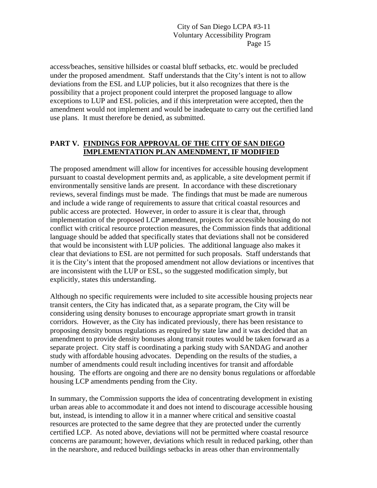access/beaches, sensitive hillsides or coastal bluff setbacks, etc. would be precluded under the proposed amendment. Staff understands that the City's intent is not to allow deviations from the ESL and LUP policies, but it also recognizes that there is the possibility that a project proponent could interpret the proposed language to allow exceptions to LUP and ESL policies, and if this interpretation were accepted, then the amendment would not implement and would be inadequate to carry out the certified land use plans. It must therefore be denied, as submitted.

# <span id="page-16-0"></span>**PART V. FINDINGS FOR APPROVAL OF THE CITY OF SAN DIEGO IMPLEMENTATION PLAN AMENDMENT, IF MODIFIED**

The proposed amendment will allow for incentives for accessible housing development pursuant to coastal development permits and, as applicable, a site development permit if environmentally sensitive lands are present. In accordance with these discretionary reviews, several findings must be made. The findings that must be made are numerous and include a wide range of requirements to assure that critical coastal resources and public access are protected. However, in order to assure it is clear that, through implementation of the proposed LCP amendment, projects for accessible housing do not conflict with critical resource protection measures, the Commission finds that additional language should be added that specifically states that deviations shall not be considered that would be inconsistent with LUP policies. The additional language also makes it clear that deviations to ESL are not permitted for such proposals. Staff understands that it is the City's intent that the proposed amendment not allow deviations or incentives that are inconsistent with the LUP or ESL, so the suggested modification simply, but explicitly, states this understanding.

Although no specific requirements were included to site accessible housing projects near transit centers, the City has indicated that, as a separate program, the City will be considering using density bonuses to encourage appropriate smart growth in transit corridors. However, as the City has indicated previously, there has been resistance to proposing density bonus regulations as required by state law and it was decided that an amendment to provide density bonuses along transit routes would be taken forward as a separate project. City staff is coordinating a parking study with SANDAG and another study with affordable housing advocates. Depending on the results of the studies, a number of amendments could result including incentives for transit and affordable housing. The efforts are ongoing and there are no density bonus regulations or affordable housing LCP amendments pending from the City.

In summary, the Commission supports the idea of concentrating development in existing urban areas able to accommodate it and does not intend to discourage accessible housing but, instead, is intending to allow it in a manner where critical and sensitive coastal resources are protected to the same degree that they are protected under the currently certified LCP. As noted above, deviations will not be permitted where coastal resource concerns are paramount; however, deviations which result in reduced parking, other than in the nearshore, and reduced buildings setbacks in areas other than environmentally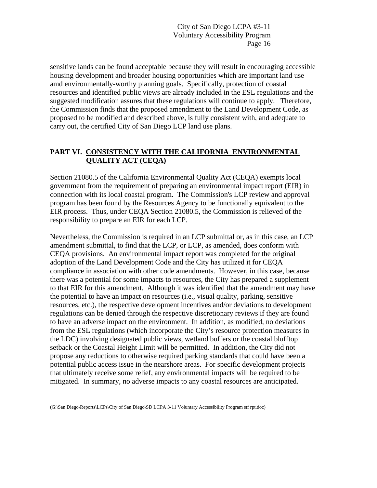sensitive lands can be found acceptable because they will result in encouraging accessible housing development and broader housing opportunities which are important land use amd environmentally-worthy planning goals. Specifically, protection of coastal resources and identified public views are already included in the ESL regulations and the suggested modification assures that these regulations will continue to apply. Therefore, the Commission finds that the proposed amendment to the Land Development Code, as proposed to be modified and described above, is fully consistent with, and adequate to carry out, the certified City of San Diego LCP land use plans.

#### **PART VI. CONSISTENCY WITH THE CALIFORNIA ENVIRONMENTAL QUALITY ACT (CEQA)**

Section 21080.5 of the California Environmental Quality Act (CEQA) exempts local government from the requirement of preparing an environmental impact report (EIR) in connection with its local coastal program. The Commission's LCP review and approval program has been found by the Resources Agency to be functionally equivalent to the EIR process. Thus, under CEQA Section 21080.5, the Commission is relieved of the responsibility to prepare an EIR for each LCP.

Nevertheless, the Commission is required in an LCP submittal or, as in this case, an LCP amendment submittal, to find that the LCP, or LCP, as amended, does conform with CEQA provisions. An environmental impact report was completed for the original adoption of the Land Development Code and the City has utilized it for CEQA compliance in association with other code amendments. However, in this case, because there was a potential for some impacts to resources, the City has prepared a supplement to that EIR for this amendment. Although it was identified that the amendment may have the potential to have an impact on resources (i.e., visual quality, parking, sensitive resources, etc.), the respective development incentives and/or deviations to development regulations can be denied through the respective discretionary reviews if they are found to have an adverse impact on the environment. In addition, as modified, no deviations from the ESL regulations (which incorporate the City's resource protection measures in the LDC) involving designated public views, wetland buffers or the coastal blufftop setback or the Coastal Height Limit will be permitted. In addition, the City did not propose any reductions to otherwise required parking standards that could have been a potential public access issue in the nearshore areas. For specific development projects that ultimately receive some relief, any environmental impacts will be required to be mitigated. In summary, no adverse impacts to any coastal resources are anticipated.

(G:\San Diego\Reports\LCPs\City of San Diego\SD LCPA 3-11 Voluntary Accessibility Program stf rpt.doc)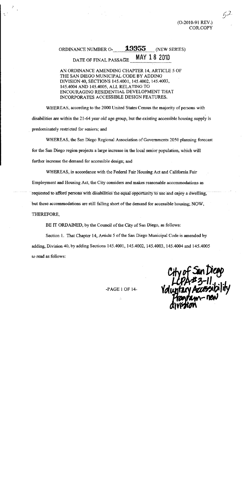$(O-2010-91$  REV.) COR.COPY  $\zeta$ d:

#### 19955 ORDINANCE NUMBER O-(NEW SERIES) MAY 18 2010 DATE OF FINAL PASSAGE

AN ORDINANCE AMENDING CHAPTER 14, ARTICLE 5 OF THE SAN DIEGO MUNICIPAL CODE BY ADDING DIVISION 40, SECTIONS 145.4001, 145.4002, 145.4003, 145.4004 AND 145.4005, ALL RELATING TO ENCOURAGING RESIDENTIAL DEVELOPMENT THAT INCORPORATES ACCESSIBLE DESIGN FEATURES.

WHEREAS, according to the 2000 United States Census the majority of persons with disabilities are within the 21-64 year old age group, but the existing accessible housing supply is predominately restricted for seniors; and

WHEREAS, the San Diego Regional Association of Governments 2050 planning forecast for the San Diego region projects a large increase in the local senior population, which will further increase the demand for accessible design; and

WHEREAS, in accordance with the Federal Fair Housing Act and California Fair Employment and Housing Act, the City considers and makes reasonable accommodations as requested to afford persons with disabilities the equal opportunity to use and enjoy a dwelling, but these accommodations are still falling short of the demand for accessible housing; NOW, THEREFORE,

BE IT ORDAINED, by the Council of the City of San Diego, as follows:

Section 1. That Chapter 14, Article 5 of the San Diego Municipal Code is amended by adding, Division 40, by adding Sections 145.4001, 145.4002, 145.4003, 145.4004 and 145.4005 to read as follows:

-PAGE 1 OF 14-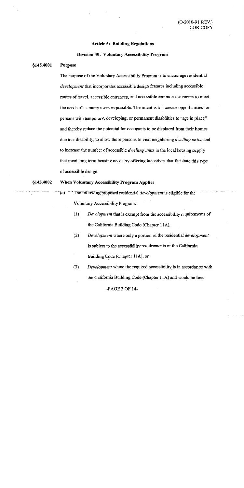#### **Article 5: Building Regulations**

#### Division 40: Voluntary Accessibility Program

#### \$145.4001 **Purpose**

The purpose of the Voluntary Accessibility Program is to encourage residential *development* that incorporates accessible design features including accessible routes of travel, accessible entrances, and accessible common use rooms to meet the needs of as many users as possible. The intent is to increase opportunities for persons with temporary, developing, or permanent disabilities to "age in place" and thereby reduce the potential for occupants to be displaced from their homes due to a disability, to allow those persons to visit neighboring *dwelling units*, and to increase the number of accessible *dwelling units* in the local housing supply that meet long term housing needs by offering incentives that facilitate this type of accessible design.

#### §145.4002 When Voluntary Accessibility Program Applies

- $(a)$ The following proposed residential *development* is eligible for the Voluntary Accessibility Program:
	- $(1)$ Development that is exempt from the accessibility requirements of the California Building Code (Chapter 11A),
	- $(2)$ Development where only a portion of the residential development is subject to the accessibility requirements of the California Building Code (Chapter 11A), or
	- $(3)$ Development where the required accessibility is in accordance with the California Building Code (Chapter 11A) and would be less

 $-PAGE 2 OF 14-$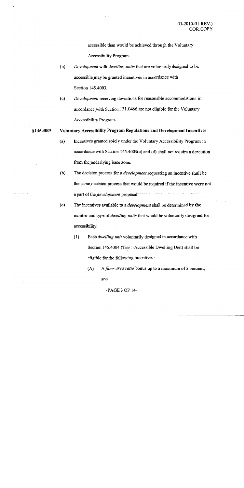accessible than would be achieved through the Voluntary Accessibility Program.

 $(b)$ Development with dwelling units that are voluntarily designed to be accessible may be granted incentives in accordance with Section 145.4003.

 $\sim$  ,  $\sim$ 

 $(c)$ Development receiving deviations for reasonable accommodations in accordance with Section 131.0466 are not eligible for the Voluntary Accessibility Program.

#### §145.4003 Voluntary Accessibility Program Regulations and Development Incentives

- $(a)$ Incentives granted solely under the Voluntary Accessibility Program in accordance with Section 145.4003(c) and (d) shall not require a deviation from the underlying base zone.
- $(b)$ The decision process for a *development* requesting an incentive shall be the same decision process that would be required if the incentive were not a part of the development proposal.
- The incentives available to a *development* shall be determined by the  $(c)$ number and type of dwelling units that would be voluntarily designed for accessibility.
	- $(1)$ Each dwelling unit voluntarily designed in accordance with Section 145.4004 (Tier I-Accessible Dwelling Unit) shall be eligible for the following incentives:
		- $(A)$ A floor area ratio bonus up to a maximum of 5 percent, and

 $-PAGE3$  OF 14 $-$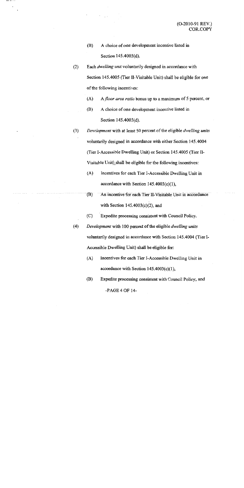- (B) A choice of one development incentive listed in Section 145.4003(d).
- $(2)$ Each *dwelling unit* voluntarily designed in accordance with Section 145.4005 (Tier II-Visitable Unit) shall be eligible for one of the following incentives:
	- A floor area ratio bonus up to a maximum of 5 percent, or  $(A)$
	- (B) A choice of one development incentive listed in Section 145.4003(d).
- Development with at least 50 percent of the eligible dwelling units  $(3)$ voluntarily designed in accordance with either Section 145.4004 (Tier I-Accessible Dwelling Unit) or Section 145.4005 (Tier II-Visitable Unit) shall be eligible for the following incentives:
	- $(A)$ Incentives for each Tier I-Accessible Dwelling Unit in accordance with Section  $145.4003(c)(1)$ ,
	- $(B)$ An incentive for each Tier II-Visitable Unit in accordance with Section  $145.4003(c)(2)$ , and
	- $(C)$ Expedite processing consistent with Council Policy.
- $(4)$ Development with 100 percent of the eligible *dwelling units* voluntarily designed in accordance with Section 145.4004 (Tier I-Accessible Dwelling Unit) shall be eligible for:
	- $(A)$ Incentives for each Tier I-Accessible Dwelling Unit in accordance with Section  $145.4003(c)(1)$ ,
	- (B) Expedite processing consistent with Council Policy, and

 $-PAGE 4 OF 14-$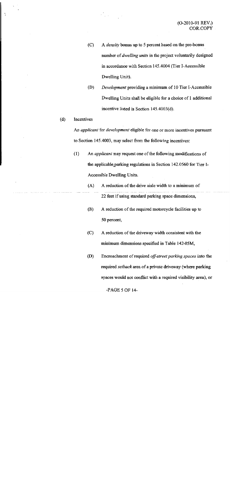A *density* bonus up to 5 percent based on the pre-bonus  $(C)$ number of *dwelling units* in the project voluntarily designed in accordance with Section 145.4004 (Tier I-Accessible Dwelling Unit).

 $\label{eq:2} \begin{array}{c} \mathbf{C} \\ \mathbf{C} \\ \mathbf{D} \end{array} \begin{array}{c} \mathbf{C} \\ \mathbf{D} \end{array} \begin{array}{c} \mathbf{C} \\ \mathbf{D} \end{array} \begin{array}{c} \mathbf{C} \\ \mathbf{D} \end{array} \begin{array}{c} \mathbf{D} \\ \mathbf{D} \end{array}$ 

- $(D)$ Development providing a minimum of 10 Tier I-Accessible Dwelling Units shall be eligible for a choice of 1 additional incentive listed in Section 145.4003(d).
- Incentives  $(d)$

 $\ddot{\cdot}$ 

An *applicant* for *development* eligible for one or more incentives pursuant to Section 145.4003, may select from the following incentives:

- $(1)$ An *applicant* may request one of the following modifications of the applicable parking regulations in Section 142.0560 for Tier I-Accessible Dwelling Units.
	- $(A)$ A reduction of the drive aisle width to a minimum of 22 feet if using standard parking space dimensions,
	- $(B)$ A reduction of the required motorcycle facilities up to 50 percent,
	- $(C)$ A reduction of the driveway width consistent with the minimum dimensions specified in Table 142-05M,
	- $(D)$ Encroachment of required off-street parking spaces into the required setback area of a private driveway (where parking spaces would not conflict with a required visibility area), or

-PAGE 5 OF 14-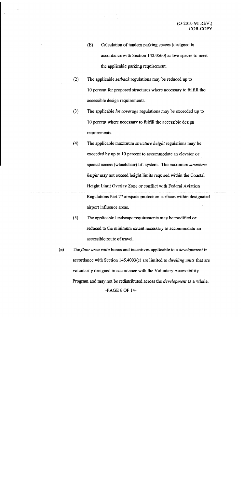- $(E)$ Calculation of tandem parking spaces (designed in accordance with Section 142.0560) as two spaces to meet the applicable parking requirement.
- $(2)$ The applicable *setback* regulations may be reduced up to 10 percent for proposed structures where necessary to fulfill the accessible design requirements.
- $(3)$ The applicable lot coverage regulations may be exceeded up to 10 percent where necessary to fulfill the accessible design requirements.
- $(4)$ The applicable maximum *structure height* regulations may be exceeded by up to 10 percent to accommodate an elevator or special access (wheelchair) lift system. The maximum structure height may not exceed height limits required within the Coastal Height Limit Overlay Zone or conflict with Federal Aviation Regulations Part 77 airspace protection surfaces within designated airport influence areas.
- $(5)$ The applicable landscape requirements may be modified or reduced to the minimum extent necessary to accommodate an accessible route of travel.
- $(e)$ The floor area ratio bonus and incentives applicable to a *development* in accordance with Section 145.4003(c) are limited to *dwelling units* that are voluntarily designed in accordance with the Voluntary Accessibility Program and may not be redistributed across the *development* as a whole. -PAGE 6 OF 14-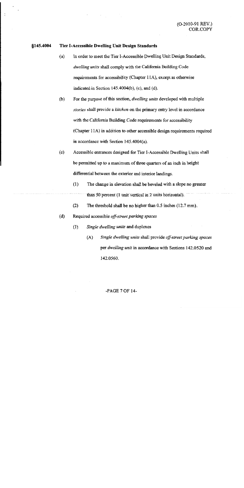#### Tier I-Accessible Dwelling Unit Design Standards §145.4004

- In order to meet the Tier I-Accessible Dwelling Unit Design Standards,  $(a)$ dwelling units shall comply with the California Building Code requirements for accessibility (Chapter 11A), except as otherwise indicated in Section  $145.4004(b)$ , (c), and (d).
- For the purpose of this section, *dwelling units* developed with multiple  $(b)$ stories shall provide a kitchen on the primary entry level in accordance with the California Building Code requirements for accessibility (Chapter 11A) in addition to other accessible design requirements required in accordance with Section  $145.4004(a)$ .
- Accessible entrances designed for Tier I-Accessible Dwelling Units shall  $(c)$ be permitted up to a maximum of three quarters of an inch in height differential between the exterior and interior landings.
	- $(1)$ The change in elevation shall be beveled with a slope no greater than 50 percent (1 unit vertical in 2 units horizontal).
	- $(2)$ The threshold shall be no higher than  $0.5$  inches  $(12.7 \text{ mm})$ .
- Required accessible off-street parking spaces  $(d)$ 
	- Single dwelling units and duplexes  $(1)$ 
		- Single dwelling units shall provide off-street parking spaces  $(A)$ per *dwelling unit* in accordance with Sections 142.0520 and 142.0560.

#### $-PAGE 7 OF 14-$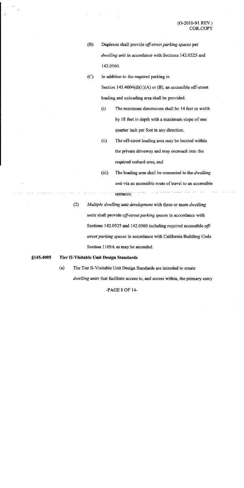- $(B)$ Duplexes shall provide off-street parking spaces per dwelling unit in accordance with Sections 142.0525 and 142.0560
- $(C)$ In addition to the required parking in Section 145.4004(d)(1)(A) or (B), an accessible off-street loading and unloading area shall be provided.
	- The minimum dimensions shall be 14 feet in width  $(i)$ by 18 feet in depth with a maximum slope of one quarter inch per foot in any direction,
	- The off-street loading area may be located within  $(ii)$ the private driveway and may encroach into the required setback area, and
	- $(iii)$ The loading area shall be connected to the *dwelling unit* via an accessible route of travel to an accessible entrance.
- $(2)$ Multiple dwelling unit development with three or more dwelling units shall provide off-street parking spaces in accordance with Sections 142.0525 and 142.0560 including required accessible offstreet parking spaces in accordance with California Building Code Section 1109A as may be amended.

#### §145.4005 Tier II-Visitable Unit Design Standards

 $(a)$ The Tier II-Visitable Unit Design Standards are intended to create *dwelling units* that facilitate access to, and access within, the primary entry

-PAGE 8 OF 14-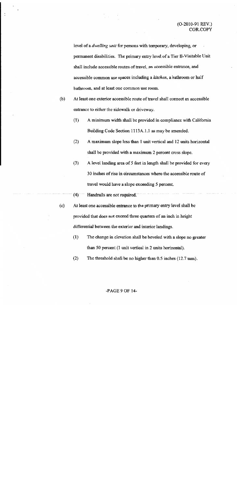level of a *dwelling unit* for persons with temporary, developing, or permanent disabilities. The primary entry level of a Tier II-Visitable Unit shall include accessible routes of travel, an accessible entrance, and accessible common use spaces including a kitchen, a bathroom or half bathroom, and at least one common use room.

- $(b)$ At least one exterior accessible route of travel shall connect an accessible entrance to either the sidewalk or driveway.
	- $(1)$ A minimum width shall be provided in compliance with California Building Code Section 1113A.1.1 as may be amended.
	- $(2)$ A maximum slope less than 1 unit vertical and 12 units horizontal shall be provided with a maximum 2 percent cross slope.
	- $(3)$ A level landing area of 5 feet in length shall be provided for every 30 inches of rise in circumstances where the accessible route of travel would have a slope exceeding 5 percent.

#### $(4)$ Handrails are not required.

- $(c)$ At least one accessible entrance to the primary entry level shall be provided that does not exceed three quarters of an inch in height differential between the exterior and interior landings.
	- $(1)$ The change in elevation shall be beveled with a slope no greater than 50 percent (1 unit vertical in 2 units horizontal).
	- $(2)$ The threshold shall be no higher than  $0.5$  inches  $(12.7 \text{ mm})$ .

#### $-PAGE9$  OF 14 $-$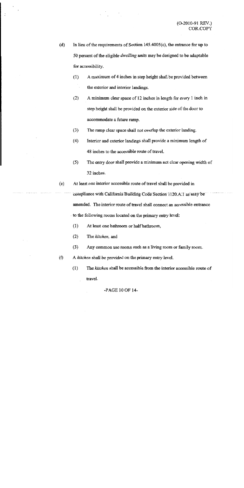- In lieu of the requirements of Section  $145.4005(c)$ , the entrance for up to  $(d)$ 50 percent of the eligible *dwelling units* may be designed to be adaptable for accessibility.
	- $(1)$ A maximum of 4 inches in step height shall be provided between the exterior and interior landings.
	- A minimum clear space of 12 inches in length for every 1 inch in  $(2)$ step height shall be provided on the exterior side of the door to accommodate a future ramp.
	- $(3)$ The ramp clear space shall not overlap the exterior landing.
	- $(4)$ Interior and exterior landings shall provide a minimum length of 48 inches to the accessible route of travel.
	- $(5)$ The entry door shall provide a minimum net clear opening width of 32 inches.
- At least one interior accessible route of travel shall be provided in  $(e)$ compliance with California Building Code Section 1120.A.1 as may be amended. The interior route of travel shall connect an accessible entrance to the following rooms located on the primary entry level:
	- $(1)$ At least one bathroom or half bathroom,
	- $(2)$ The kitchen, and
	- $(3)$ Any common use rooms such as a living room or family room.
- $(f)$ A kitchen shall be provided on the primary entry level.
	- $(1)$ The kitchen shall be accessible from the interior accessible route of travel.

-PAGE 10 OF 14-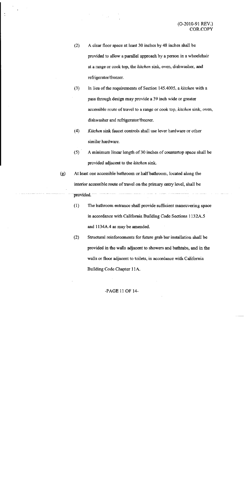- $(2)$ A clear floor space at least 30 inches by 48 inches shall be provided to allow a parallel approach by a person in a wheelchair at a range or cook top, the kitchen sink, oven, dishwasher, and refrigerator/freezer.
- $(3)$ In lieu of the requirements of Section 145.4005, a kitchen with a pass through design may provide a 39 inch wide or greater accessible route of travel to a range or cook top, kitchen sink, oven, dishwasher and refrigerator/freezer.
- Kitchen sink faucet controls shall use lever hardware or other  $(4)$ similar hardware.
- $(5)$ A minimum linear length of 30 inches of countertop space shall be provided adjacent to the kitchen sink.
- At least one accessible bathroom or half bathroom, located along the  $(g)$ interior accessible route of travel on the primary entry level, shall be provided.
	- $(1)$ The bathroom entrance shall provide sufficient maneuvering space in accordance with California Building Code Sections 1132A.5 and 1134A.4 as may be amended.
	- $(2)$ Structural reinforcements for future grab bar installation shall be provided in the walls adjacent to showers and bathtubs, and in the walls or floor adjacent to toilets, in accordance with California Building Code Chapter 11A.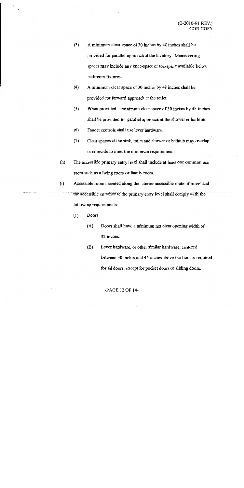- $(3)$ A minimum clear space of 30 inches by 48 inches shall be provided for parallel approach at the lavatory. Maneuvering spaces may include any knee-space or toe-space available below bathroom fixtures.
- $(4)$ A minimum clear space of 30 inches by 48 inches shall be provided for forward approach at the toilet.
- When provided, a minimum clear space of 30 inches by 48 inches  $(5)$ shall be provided for parallel approach at the shower or bathtub.
- Faucet controls shall use lever hardware.  $(6)$
- $(7)$ Clear spaces at the sink, toilet and shower or bathtub may overlap or coincide to meet the minimum requirements.
- $(h)$ The accessible primary entry level shall include at least one common use room such as a living room or family room.
- $(i)$ Accessible rooms located along the interior accessible route of travel and the accessible entrance to the primary entry level shall comply with the following requirements:
	- $(1)$ Doors
		- $(A)$ Doors shall have a minimum net clear opening width of 32 inches.
		- (B) Lever hardware, or other similar hardware, centered between 30 inches and 44 inches above the floor is required for all doors, except for pocket doors or sliding doors.

-PAGE 12 OF 14-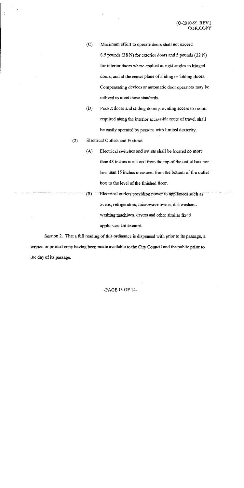- $(C)$ Maximum effort to operate doors shall not exceed 8.5 pounds (38 N) for exterior doors and 5 pounds (22 N) for interior doors where applied at right angles to hinged doors, and at the center plane of sliding or folding doors. Compensating devices or automatic door operators may be utilized to meet these standards.
- $(D)$ Pocket doors and sliding doors providing access to rooms required along the interior accessible route of travel shall be easily operated by persons with limited dexterity.

#### **Electrical Outlets and Fixtures**  $(2)$

- $(A)$ Electrical switches and outlets shall be located no more than 48 inches measured from the top of the outlet box nor less than 15 inches measured from the bottom of the outlet box to the level of the finished floor.
- $(B)$ Electrical outlets providing power to appliances such as ovens, refrigerators, microwave ovens, dishwashers, washing machines, dryers and other similar fixed appliances are exempt.

Section 2. That a full reading of this ordinance is dispensed with prior to its passage, a written or printed copy having been made available to the City Council and the public prior to the day of its passage.